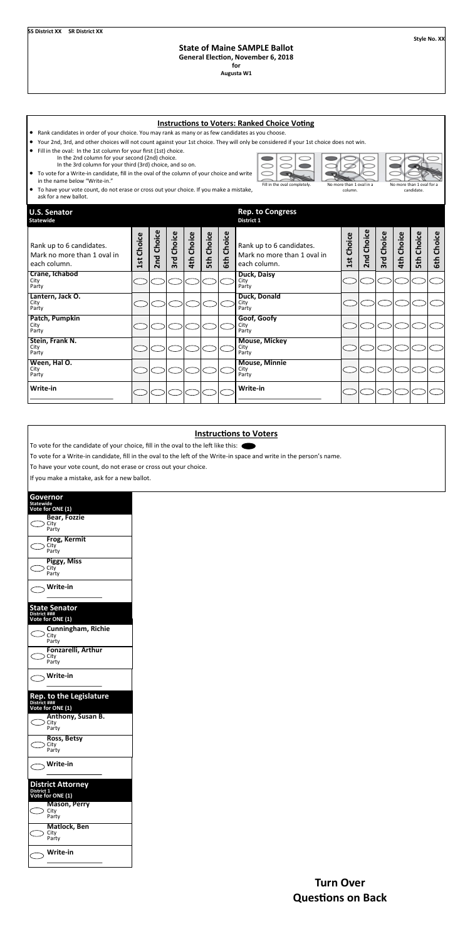**Style No. XX**

## **State of Maine SAMPLE Ballot**

**General Election, November 6, 2018**

**for**

**Augusta W1**

|                                                                                                                                                                                                                                                                                                                                                                                                                                                  |            |            |            |                   |                   |                      | <b>Instructions to Voters: Ranked Choice Voting</b>                     |            |            |            |               |                   |               |  |
|--------------------------------------------------------------------------------------------------------------------------------------------------------------------------------------------------------------------------------------------------------------------------------------------------------------------------------------------------------------------------------------------------------------------------------------------------|------------|------------|------------|-------------------|-------------------|----------------------|-------------------------------------------------------------------------|------------|------------|------------|---------------|-------------------|---------------|--|
| Rank candidates in order of your choice. You may rank as many or as few candidates as you choose.<br>$\bullet$                                                                                                                                                                                                                                                                                                                                   |            |            |            |                   |                   |                      |                                                                         |            |            |            |               |                   |               |  |
| Your 2nd, 3rd, and other choices will not count against your 1st choice. They will only be considered if your 1st choice does not win.<br>∣∙<br>Fill in the oval: In the 1st column for your first (1st) choice.<br>$\bullet$<br>In the 2nd column for your second (2nd) choice.<br>In the 3rd column for your third (3rd) choice, and so on.<br>To vote for a Write-in candidate, fill in the oval of the column of your choice and write<br>∣∙ |            |            |            |                   |                   |                      |                                                                         |            |            |            |               |                   |               |  |
| in the name below "Write-in."<br>Fill in the oval completely.<br>No more than 1 oval in a<br>No more than 1 oval for a<br>● To have your vote count, do not erase or cross out your choice. If you make a mistake,<br>candidate.<br>column.<br>ask for a new ballot.                                                                                                                                                                             |            |            |            |                   |                   |                      |                                                                         |            |            |            |               |                   |               |  |
| <b>U.S. Senator</b><br><b>Statewide</b>                                                                                                                                                                                                                                                                                                                                                                                                          |            |            |            |                   |                   |                      | <b>Rep. to Congress</b><br>District 1                                   |            |            |            |               |                   |               |  |
| Rank up to 6 candidates.<br>Mark no more than 1 oval in<br>each column.                                                                                                                                                                                                                                                                                                                                                                          | 1st Choice | 2nd Choice | 3rd Choice | <b>4th Choice</b> | <b>Sth Choice</b> | Choice<br><b>Gth</b> | Rank up to 6 candidates.<br>Mark no more than 1 oval in<br>each column. | 1st Choice | 2nd Choice | 3rd Choice | Choice<br>4th | <b>Sth Choice</b> | Choice<br>6th |  |
| Crane, Ichabod<br>City<br>Party                                                                                                                                                                                                                                                                                                                                                                                                                  |            |            |            |                   |                   |                      | Duck, Daisy<br>City<br>Party                                            |            |            |            |               |                   |               |  |
| Lantern, Jack O.<br>City<br>Party                                                                                                                                                                                                                                                                                                                                                                                                                |            |            |            |                   |                   |                      | <b>Duck, Donald</b><br>City<br>Party                                    |            |            |            |               |                   |               |  |
| Patch, Pumpkin<br>City<br>Party                                                                                                                                                                                                                                                                                                                                                                                                                  |            |            |            |                   |                   |                      | Goof, Goofy<br>City<br>Party                                            |            |            |            |               |                   |               |  |
| Stein, Frank N.<br>City<br>Party                                                                                                                                                                                                                                                                                                                                                                                                                 |            |            |            |                   |                   |                      | <b>Mouse, Mickey</b><br>City<br>Party                                   |            |            |            |               |                   |               |  |
| Ween, Hal O.<br>City<br>Party                                                                                                                                                                                                                                                                                                                                                                                                                    |            |            |            |                   |                   |                      | <b>Mouse, Minnie</b><br>City<br>Party                                   |            |            |            |               |                   |               |  |
| Write-in                                                                                                                                                                                                                                                                                                                                                                                                                                         |            |            |            |                   |                   |                      | Write-in                                                                |            |            |            |               |                   |               |  |

## **Turn Over Questions on Back**

## **Instructions to Voters**

To vote for the candidate of your choice, fill in the oval to the left like this:

To vote for a Write-in candidate, fill in the oval to the left of the Write-in space and write in the person's name.

To have your vote count, do not erase or cross out your choice.

If you make a mistake, ask for a new ballot.

| Governor<br><b>Statewide</b><br>Vote for ONE (1)         |
|----------------------------------------------------------|
| Bear, Fozzie<br>City<br>Party                            |
| Frog, Kermit<br>City<br>Party                            |
| Piggy, Miss<br>City<br>Party                             |
| Write-in                                                 |
| <b>State Senator</b><br>District ###<br>Vote for ONE (1) |
| <b>Cunningham, Richie</b><br>City<br>Party               |
| Fonzarelli, Arthur<br>City<br>Party                      |
| Write-in                                                 |